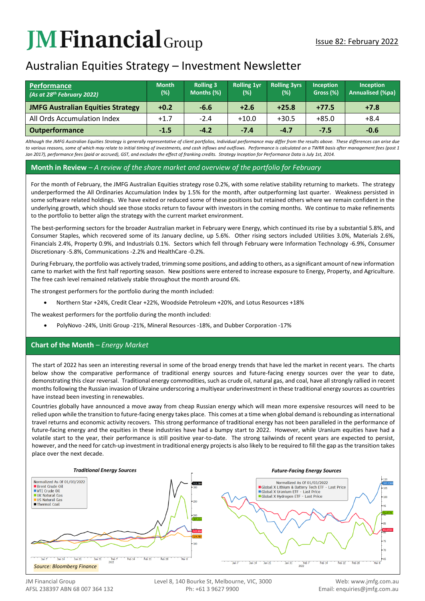# **JMFinancial**Group

# Australian Equities Strategy – Investment Newsletter

| <b>Performance</b><br>(As at 28 <sup>th</sup> February 2022) | <b>Month</b><br>(%) | <b>Rolling 3</b><br>Months (%) | <b>Rolling 1vr</b><br>(%) | <b>Rolling 3yrs</b><br>(%) | <b>Inception</b><br>Gross (%) | Inception<br>Annualised (%pa) |
|--------------------------------------------------------------|---------------------|--------------------------------|---------------------------|----------------------------|-------------------------------|-------------------------------|
| <b>JMFG Australian Equities Strategy</b>                     | $+0.2$              | $-6.6$                         | $+2.6$                    | $+25.8$                    | $+77.5$                       | $+7.8$                        |
| All Ords Accumulation Index                                  | $+1.7$              | $-2.4$                         | $+10.0$                   | $+30.5$                    | $+85.0$                       | $+8.4$                        |
| <b>Outperformance</b>                                        | $-1.5$              | $-4.2$                         | $-7.4$                    | $-4.7$                     | $-7.5$                        | $-0.6$                        |

*Although the JMFG Australian Equities Strategy is generally representative of client portfolios, Individual performance may differ from the results above. These differences can arise due to various reasons, some of which may relate to initial timing of investments, and cash inflows and outflows. Performance is calculated on a TWRR basis after management fees (post 1 Jan 2017), performance fees (paid or accrued), GST, and excludes the effect of franking credits. Strategy Inception for Performance Data is July 1st, 2014.*

#### **Month in Review** *– A review of the share market and overview of the portfolio for February*

For the month of February, the JMFG Australian Equities strategy rose 0.2%, with some relative stability returning to markets. The strategy underperformed the All Ordinaries Accumulation Index by 1.5% for the month, after outperforming last quarter. Weakness persisted in some software related holdings. We have exited or reduced some of these positions but retained others where we remain confident in the underlying growth, which should see those stocks return to favour with investors in the coming months. We continue to make refinements to the portfolio to better align the strategy with the current market environment.

The best-performing sectors for the broader Australian market in February were Energy, which continued its rise by a substantial 5.8%, and Consumer Staples, which recovered some of its January decline, up 5.6%. Other rising sectors included Utilities 3.0%, Materials 2.6%, Financials 2.4%, Property 0.9%, and Industrials 0.1%. Sectors which fell through February were Information Technology -6.9%, Consumer Discretionary -5.8%, Communications -2.2% and HealthCare -0.2%.

During February, the portfolio was actively traded, trimming some positions, and adding to others, as a significant amount of new information came to market with the first half reporting season. New positions were entered to increase exposure to Energy, Property, and Agriculture. The free cash level remained relatively stable throughout the month around 6%.

The strongest performers for the portfolio during the month included:

• Northern Star +24%, Credit Clear +22%, Woodside Petroleum +20%, and Lotus Resources +18%

The weakest performers for the portfolio during the month included:

• PolyNovo -24%, Uniti Group -21%, Mineral Resources -18%, and Dubber Corporation -17%

# **Chart of the Month** *– Energy Market*

The start of 2022 has seen an interesting reversal in some of the broad energy trends that have led the market in recent years. The charts below show the comparative performance of traditional energy sources and future-facing energy sources over the year to date, demonstrating this clear reversal. Traditional energy commodities, such as crude oil, natural gas, and coal, have all strongly rallied in recent months following the Russian invasion of Ukraine underscoring a multiyear underinvestment in these traditional energy sources as countries have instead been investing in renewables.

Countries globally have announced a move away from cheap Russian energy which will mean more expensive resources will need to be relied upon while the transition to future-facing energy takes place. This comes at a time when global demand is rebounding as international travel returns and economic activity recovers. This strong performance of traditional energy has not been paralleled in the performance of future-facing energy and the equities in these industries have had a bumpy start to 2022. However, while Uranium equities have had a volatile start to the year, their performance is still positive year-to-date. The strong tailwinds of recent years are expected to persist, however, and the need for catch-up investment in traditional energy projects is also likely to be required to fill the gap as the transition takes place over the next decade.